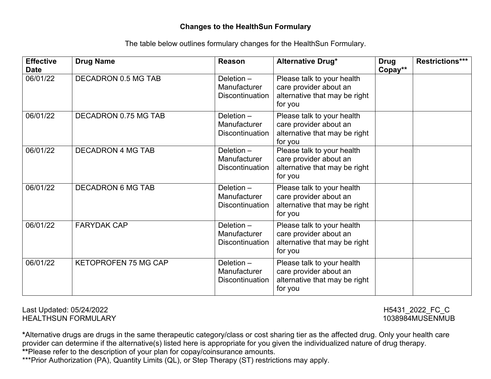## **Changes to the HealthSun Formulary**

The table below outlines formulary changes for the HealthSun Formulary.

| <b>Effective</b><br><b>Date</b> | <b>Drug Name</b>            | Reason                                                 | Alternative Drug*                                                                                | <b>Drug</b><br>Copay** | <b>Restrictions***</b> |
|---------------------------------|-----------------------------|--------------------------------------------------------|--------------------------------------------------------------------------------------------------|------------------------|------------------------|
| 06/01/22                        | DECADRON 0.5 MG TAB         | Deletion $-$<br>Manufacturer<br><b>Discontinuation</b> | Please talk to your health<br>care provider about an<br>alternative that may be right<br>for you |                        |                        |
| 06/01/22                        | DECADRON 0.75 MG TAB        | Deletion $-$<br>Manufacturer<br><b>Discontinuation</b> | Please talk to your health<br>care provider about an<br>alternative that may be right<br>for you |                        |                        |
| 06/01/22                        | <b>DECADRON 4 MG TAB</b>    | Deletion-<br>Manufacturer<br><b>Discontinuation</b>    | Please talk to your health<br>care provider about an<br>alternative that may be right<br>for you |                        |                        |
| 06/01/22                        | <b>DECADRON 6 MG TAB</b>    | Deletion $-$<br>Manufacturer<br><b>Discontinuation</b> | Please talk to your health<br>care provider about an<br>alternative that may be right<br>for you |                        |                        |
| 06/01/22                        | <b>FARYDAK CAP</b>          | Deletion $-$<br>Manufacturer<br><b>Discontinuation</b> | Please talk to your health<br>care provider about an<br>alternative that may be right<br>for you |                        |                        |
| 06/01/22                        | <b>KETOPROFEN 75 MG CAP</b> | Deletion $-$<br>Manufacturer<br><b>Discontinuation</b> | Please talk to your health<br>care provider about an<br>alternative that may be right<br>for you |                        |                        |

Last Updated: 05/24/2022 H5431\_2022\_FC\_C **HEALTHSUN FORMULARY** 

**\***Alternative drugs are drugs in the same therapeutic category/class or cost sharing tier as the affected drug. Only your health care provider can determine if the alternative(s) listed here is appropriate for you given the individualized nature of drug therapy. **\*\***Please refer to the description of your plan for copay/coinsurance amounts.

\*\*\*Prior Authorization (PA), Quantity Limits (QL), or Step Therapy (ST) restrictions may apply.